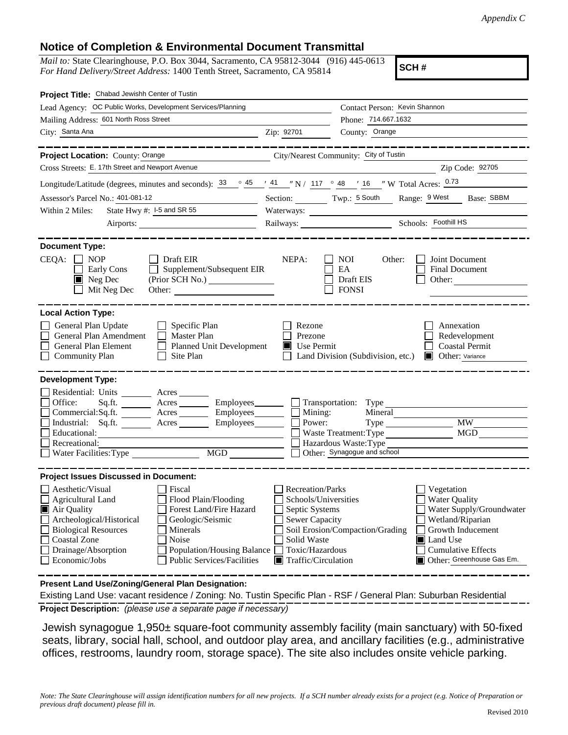## **Notice of Completion & Environmental Document Transmittal**

*Mail to:* State Clearinghouse, P.O. Box 3044, Sacramento, CA 95812-3044 (916) 445-0613 *For Hand Delivery/Street Address:* 1400 Tenth Street, Sacramento, CA 95814

**SCH #**

| Project Title: Chabad Jewishh Center of Tustin                                                                                                                                                                                                                                                                                                                                       |                                                                                                                                              |                                                                                                                                                                                                                  |  |
|--------------------------------------------------------------------------------------------------------------------------------------------------------------------------------------------------------------------------------------------------------------------------------------------------------------------------------------------------------------------------------------|----------------------------------------------------------------------------------------------------------------------------------------------|------------------------------------------------------------------------------------------------------------------------------------------------------------------------------------------------------------------|--|
| Lead Agency: OC Public Works, Development Services/Planning                                                                                                                                                                                                                                                                                                                          |                                                                                                                                              | Contact Person: Kevin Shannon                                                                                                                                                                                    |  |
| Mailing Address: 601 North Ross Street                                                                                                                                                                                                                                                                                                                                               |                                                                                                                                              | Phone: 714.667.1632                                                                                                                                                                                              |  |
| City: Santa Ana<br><u> 1989 - Jan Samuel Barbara, martin d</u>                                                                                                                                                                                                                                                                                                                       | Zip: 92701                                                                                                                                   | County: Orange                                                                                                                                                                                                   |  |
| . __ __ __ __ __ __ __ __                                                                                                                                                                                                                                                                                                                                                            |                                                                                                                                              | ______________                                                                                                                                                                                                   |  |
| Project Location: County: Orange                                                                                                                                                                                                                                                                                                                                                     |                                                                                                                                              | City/Nearest Community: City of Tustin                                                                                                                                                                           |  |
| Cross Streets: E. 17th Street and Newport Avenue                                                                                                                                                                                                                                                                                                                                     |                                                                                                                                              | Zip Code: 92705                                                                                                                                                                                                  |  |
| Longitude/Latitude (degrees, minutes and seconds): $\frac{33}{9}$ $\frac{45}{1}$ $\frac{41}{1}$ $\frac{1}{1}$ N / $\frac{117}{11}$ $\frac{6}{1}$ $\frac{48}{16}$ $\frac{1}{1}$ W Total Acres: $\frac{0.73}{1}$                                                                                                                                                                       |                                                                                                                                              |                                                                                                                                                                                                                  |  |
| Assessor's Parcel No.: 401-081-12<br>$\overline{\phantom{a}}$                                                                                                                                                                                                                                                                                                                        |                                                                                                                                              | Section: Twp.: 5 South Range: 9 West Base: SBBM                                                                                                                                                                  |  |
| State Hwy #: I-5 and SR 55<br>Within 2 Miles:                                                                                                                                                                                                                                                                                                                                        |                                                                                                                                              |                                                                                                                                                                                                                  |  |
|                                                                                                                                                                                                                                                                                                                                                                                      |                                                                                                                                              |                                                                                                                                                                                                                  |  |
| <b>Document Type:</b><br>$CEQA: \Box NOP$<br>$\Box$ Draft EIR<br>Supplement/Subsequent EIR<br>Early Cons<br>$\perp$<br>$\blacksquare$ Neg Dec<br>Mit Neg Dec<br>Other:                                                                                                                                                                                                               | NEPA:                                                                                                                                        | <b>NOI</b><br>Joint Document<br>Other:<br>EA<br><b>Final Document</b><br>Draft EIS<br>Other:<br><b>FONSI</b>                                                                                                     |  |
| <b>Local Action Type:</b>                                                                                                                                                                                                                                                                                                                                                            |                                                                                                                                              |                                                                                                                                                                                                                  |  |
| General Plan Update<br>$\Box$ Specific Plan<br>General Plan Amendment<br>$\Box$ Master Plan<br>General Plan Element<br>Planned Unit Development<br><b>Community Plan</b><br>Site Plan<br>$\Box$                                                                                                                                                                                      | Rezone<br>Prezone<br>Use Permit                                                                                                              | Annexation<br>Redevelopment<br><b>Coastal Permit</b><br>Land Division (Subdivision, etc.)<br>Other: Variance                                                                                                     |  |
| <b>Development Type:</b><br>Residential: Units ________ Acres ______<br>Office:<br>Sq.ft. ________ Acres _________ Employees________ __ Transportation: Type _______<br>Commercial:Sq.ft. ________ Acres _________ Employees ________ $\square$<br>Employees_______<br>Industrial: Sq.ft.<br>$A$ cres $\_\_\_\_\_\_\_\_\$<br>Educational:<br>Recreational:<br>Water Facilities: Type | Mining:<br>Power:                                                                                                                            | Mineral<br><b>MW</b><br><b>MGD</b><br>Waste Treatment: Type<br>Hazardous Waste: Type<br>Other: Synagogue and school                                                                                              |  |
| <b>Project Issues Discussed in Document:</b>                                                                                                                                                                                                                                                                                                                                         |                                                                                                                                              |                                                                                                                                                                                                                  |  |
| Aesthetic/Visual<br>  Fiscal<br>$\Box$ Agricultural Land<br>Flood Plain/Flooding<br>Forest Land/Fire Hazard<br>Air Quality<br>Archeological/Historical<br>Geologic/Seismic<br><b>Biological Resources</b><br>Minerals<br><b>Coastal Zone</b><br>Noise<br>Drainage/Absorption<br>Population/Housing Balance<br>Economic/Jobs<br><b>Public Services/Facilities</b>                     | Recreation/Parks<br>Schools/Universities<br>Septic Systems<br><b>Sewer Capacity</b><br>Solid Waste<br>Toxic/Hazardous<br>Traffic/Circulation | Vegetation<br><b>Water Quality</b><br>Water Supply/Groundwater<br>Wetland/Riparian<br>Soil Erosion/Compaction/Grading<br>Growth Inducement<br>Land Use<br><b>Cumulative Effects</b><br>Other: Greenhouse Gas Em. |  |

**Present Land Use/Zoning/General Plan Designation:**

**Project Description:** *(please use a separate page if necessary)* Existing Land Use: vacant residence / Zoning: No. Tustin Specific Plan - RSF / General Plan: Suburban Residential

 Jewish synagogue 1,950± square-foot community assembly facility (main sanctuary) with 50-fixed seats, library, social hall, school, and outdoor play area, and ancillary facilities (e.g., administrative offices, restrooms, laundry room, storage space). The site also includes onsite vehicle parking.